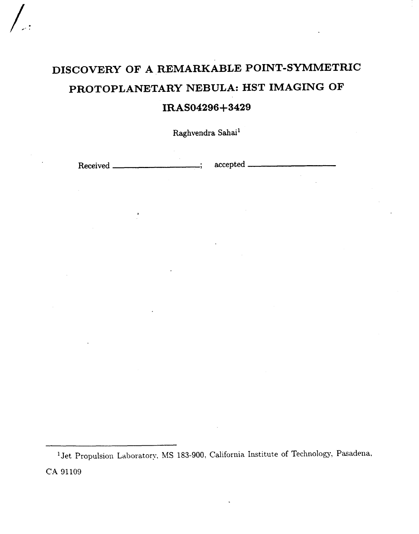# **DISCOVERY OF A ,REMARKABLE POINT-SYMMETRIC PROTOPLANETARY NEBULA: HST IMAGING OF IRAS04296+3429**

**Raghvendra Sahai'** 

Received \_\_\_\_\_\_\_\_\_\_\_\_\_\_\_\_\_\_\_\_\_; accepted \_

<sup>&</sup>lt;sup>1</sup>Jet Propulsion Laboratory, MS 183-900, California Institute of Technology, Pasadena, CA 91109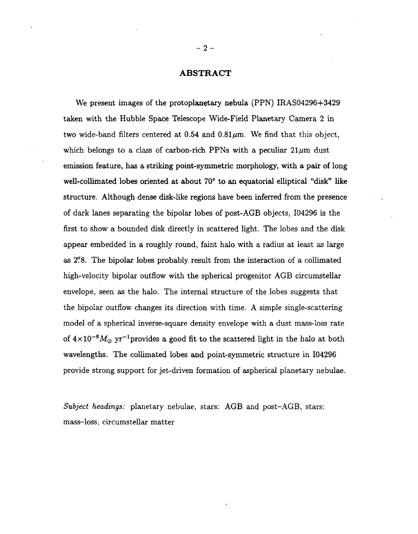# **ABSTRACT**

We present images of the protoplanetary nebula (PPN) IRAS04296+3429 taken with the Hubble Space Telescope Wide-Field Planetary Camera **2** in two wide-band filters centered at  $0.54$  and  $0.81 \mu m$ . We find that this object, which belongs to a class of carbon-rich PPNs with a peculiar  $21\mu m$  dust emission feature, has a striking point-symmetric morphology, with a pair **of** long well-collimated lobes oriented at about **70"** to an equatorial elliptical "disk" like structure. Although dense disk-like regions have been inferred from the presence of dark lanes separating the bipolar lobes of post-AGB objects, I04296 is the first to show a bounded disk directly in scattered light. The lobes and the disk appear embedded in a roughly round, faint halo with a radius at least as large as 2!8. The bipolar lobes probably result from the interaction of a collimated high-velocity bipolar outflow with the spherical progenitor AGB circumstellar envelope, seen as the halo. The internal structure of the lobes suggests that the bipolar outflow changes its direction with time. A simple single-scattering model of a spherical inverse-square density envelope with a dust mass-loss rate of  $4 \times 10^{-8} M_{\odot}$  yr<sup>-1</sup>provides a good fit to the scattered light in the halo at both wavelengths. The collimated lobes and point-symmetric structure in I04296 provide strong support for jet-driven formation of aspherical planetary nebulae.

*Subject headings:* planetary nebulae, stars: AGB and post-AGB, stars: mass-loss, circumstellar matter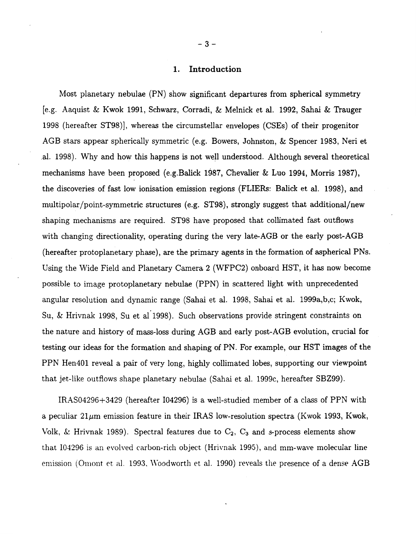# **1. Introduction**

Most planetary nebulae (PN) show significant departures from spherical symmetry [e.g. Aaquist & Kwok 1991, Schwarz, Corradi, & Melnick et al. 1992, Sahai & Trauger 1998 (hereafter ST98)], whereas the circumstellar envelopes (CSEs) of their progenitor AGB stars appear spherically symmetric (e.g. Bowers, Johnston, & Spencer 1983, Neri et .al. 1998). Why and how this happens is not well understood. Although several theoretical mechanisms have been proposed (e.g.Balick 1987, Chevalier & Luo 1994, Morris 1987), the discoveries of fast low ionisation emission regions (FLIERS: Balick et al. 1998), and multipolar/point-symmetric structures (e.g. ST98), strongly suggest that additional/new shaping mechanisms are required. ST98 have proposed that collimated fast outflows with changing directionality, operating during the very late-AGB or the early post-AGB (hereafter protoplanetary phase), are the primary agents in the formation of aspherical PNs. Using the Wide Field and Planetary Camera 2 (WFPC2) onboard HST, it has now become possible to image protoplanetary nebulae (PPN) in scattered light with unprecedented angular resolution and dynamic range (Sahai et al. 1998, Sahai et al. 1999a,b,c; Kwok, Su, & Hrivnak 1998, Su et al 1998). Such observations provide stringent constraints on the nature and history of mass-loss during AGB and early post-AGB evolution, crucial for testing our ideas for the formation and shaping of PN. For example, our HST images of the PPN Hen401 reveal a pair of very long, highly collimated lobes, supporting our viewpoint that jet-like outflows shape planetary nebulae (Sahai et al. 1999c, hereafter SBZ99).

IRAS04296+3429 (hereafter 104296) is a well-studied member of a class of PPN with a peculiar  $21\mu$ m emission feature in their IRAS low-resolution spectra (Kwok 1993, Kwok, Volk, & Hrivnak 1989). Spectral features due to  $C_2$ ,  $C_3$  and s-process elements show that IO429G is an evolved carbon-rich object (Hrivnak 1995), and mm-wave molecular line emission (Omont et al. 1993, Woodworth et al. 1990) reveals the presence of a dense AGB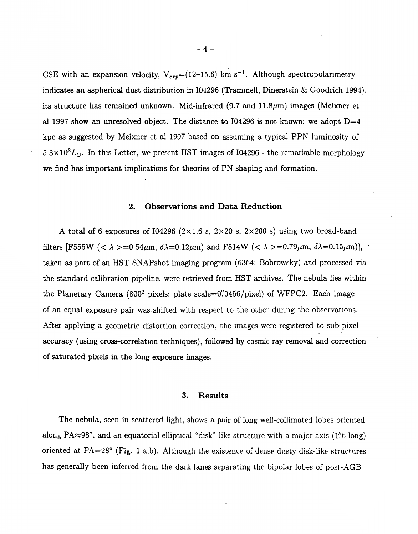CSE with an expansion velocity,  $V_{exp}=(12-15.6)$  km s<sup>-1</sup>. Although spectropolarimetry indicates an aspherical dust distribution in I04296 (Trammell, Dinerstein & Goodrich 1994), its structure has remained unknown. Mid-infrared (9.7 and  $11.8\mu$ m) images (Meixner et al 1997 show an unresolved object. The distance to  $104296$  is not known; we adopt  $D=4$ kpc as suggested by Meixner et a1 1997 based on assuming a typical PPN luminosity of  $5.3 \times 10^3 L_{\odot}$ . In this Letter, we present HST images of I04296 - the remarkable morphology we find has important implications for theories of PN shaping and formation.

## **2. Observations and Data Reduction**

A total of 6 exposures of  $104296$  ( $2 \times 1.6$  s,  $2 \times 20$  s,  $2 \times 200$  s) using two broad-band filters [F555W ( $\langle \ \ \lambda \ \rangle = 0.54 \mu m$ ,  $\delta \lambda = 0.12 \mu m$ ) and F814W ( $\langle \ \ \lambda \ \rangle = 0.79 \mu m$ ,  $\delta \lambda = 0.15 \mu m$ )], taken as part of an HST SNAPshot imaging program (6364: Bobrowsky) and processed via the standard calibration pipeline, were retrieved from HST archives. The nebula lies within the Planetary Camera *(800<sup>2</sup> pixels*; plate scale=0''0456/pixel) of WFPC2. Each image of an equal exposure pair was.shifted with respect to the other during the observations. After applying a geometric distortion correction, the images were registered to sub-pixel accuracy (using cross-correlation techniques), followed by cosmic ray removal and correction of saturated pixels in the long exposure images.

#### **3. Results**

The nebula, seen in scattered light, shows a pair of long well-collimated lobes oriented along  $PA \approx 98^\circ$ , and an equatorial elliptical "disk" like structure with a major axis (1"6 long) oriented at  $PA=28^{\circ}$  (Fig. 1 a.b). Although the existence of dense dusty disk-like structures has generally been inferred from the dark lanes separating the bipolar lobes of post-AGB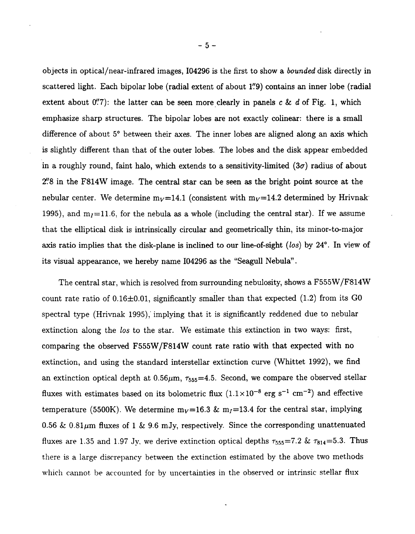objects in optical/near-infrared images, I04296 is the first to show a *bounded* disk directly in scattered light. Each bipolar lobe (radial extent of about 1"9) contains an inner lobe (radial extent about  $0\rlap{.}^{\prime\prime}$ : the latter can be seen more clearly in panels c & d of Fig. 1, which emphasize sharp structures. The bipolar lobes are not exactly colinear: there is a small difference of about 5° between their axes. The inner lobes are aligned along an axis which is slightly different than that of the outer lobes. The lobes and the disk appear embedded in a roughly round, faint halo, which extends to a sensitivity-limited *(30)* radius of about 2'8 in the F814W image. The central star can be seen as the bright point source at the nebular center. We determine  $m_V=14.1$  (consistent with  $m_V=14.2$  determined by Hrivnak. 1995), and  $m_l=11.6$ , for the nebula as a whole (including the central star). If we assume that the elliptical disk is intrinsically circular and geometrically thin, its minor-to-major axis ratio implies that the disk-plane is inclined to our line-of-sight (los) by 24°. In view of its visual appearance, we hereby name I04296 as the "Seagull Nebula".

The central star, which is resolved from surrounding nebulosity, shows a F555W/F814W count rate ratio of 0.16 $\pm$ 0.01, significantly smaller than that expected (1.2) from its G0 spectral type (Hrivnak 1995), implying that it is significantly reddened due to nebular extinction along the los to the star. We estimate this extinction in two ways: first, comparing the observed F555W/F814W count rate ratio with that expected with no extinction, and using the standard interstellar extinction curve (Whittet 1992), we find an extinction optical depth at  $0.56\mu$ m,  $\tau_{555}$ =4.5. Second, we compare the observed stellar fluxes with estimates based on its bolometric flux  $(1.1 \times 10^{-8} \text{ erg s}^{-1} \text{ cm}^{-2})$  and effective temperature (5500K). We determine  $m_V=16.3$  &  $m_I=13.4$  for the central star, implying 0.56 & 0.81 $\mu$ m fluxes of 1 & 9.6 mJy, respectively. Since the corresponding unattenuated fluxes are 1.35 and 1.97 Jy, we derive extinction optical depths  $\tau_{555}=7.2$  &  $\tau_{814}=5.3$ . Thus there is a large discrepancy between the extinction estimated by the above two methods which cannot be accounted for by uncertainties in the observed or intrinsic stellar flux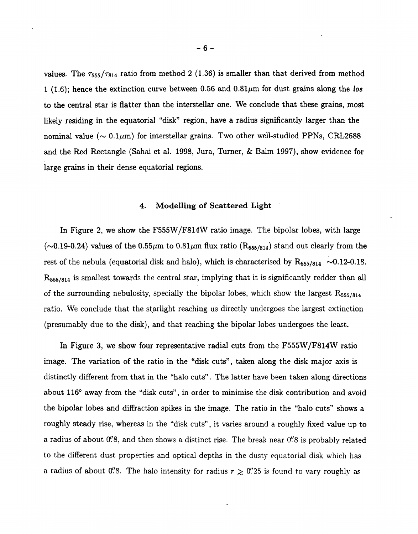values. The  $\tau_{555}/\tau_{814}$  ratio from method 2 (1.36) is smaller than that derived from method 1 (1.6); hence the extinction curve between 0.56 and  $0.81 \mu m$  for dust grains along the *los* to the central star is flatter than the interstellar one. We conclude that these grains, most likely residing in the equatorial "disk" region, have a radius significantly larger than the nominal value ( $\sim 0.1 \mu m$ ) for interstellar grains. Two other well-studied PPNs, CRL2688 and the Red Rectangle (Sahai et al. 1998, Jura, Turner, & Balm 1997), show evidence for large grains in their dense equatorial regions.

# **4. Modelling of Scattered Light**

In Figure 2, we show the F555W/F814W ratio image. The bipolar lobes, with large ( $\sim$ 0.19-0.24) values of the 0.55 $\mu$ m to 0.81 $\mu$ m flux ratio (R<sub>555/814</sub>) stand out clearly from the rest of the nebula (equatorial disk and halo), which is characterised by  $R_{555/814} \sim 0.12$ -0.18. R555/814 is smallest towards the central star, implying that it is significantly redder than all of the surrounding nebulosity, specially the bipolar lobes, which show the largest  $R_{555/814}$ ratio. We conclude that the starlight reaching us directly undergoes the largest extinction (presumably due to the disk), and that reaching the bipolar lobes undergoes the least.

In Figure **3,** we show four representative radial cuts from the **F555W/F814W** ratio image. The variation of the ratio in the "disk cuts", taken along the disk major axis is distinctly different from that in the "halo cuts". The latter have been taken along directions about 116" away from the "disk cuts", in order to minimise the disk contribution and avoid the bipolar lobes and diffraction spikes in the image. The ratio in the "halo cuts" shows a roughly steady rise, whereas in the "disk cuts", it varies around a roughly fixed value up to a radius of about 0'.8, and then shows a distinct rise. The break near 0'.8 is probably related to the different dust properties and optical depths in the dusty equatorial disk which has a radius of about 0. The halo intensity for radius  $r \geq 0$ . 25 is found to vary roughly as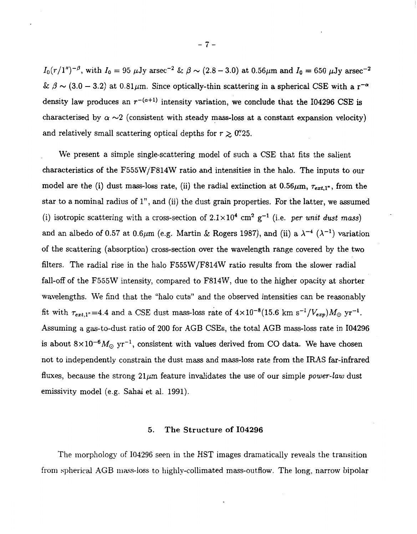$I_0(r/1'')^{-\beta}$ , with  $I_0 = 95 \mu Jy \text{ arc}^{-2} \& \beta \sim (2.8 - 3.0) \text{ at } 0.56 \mu \text{m and } I_0 = 650 \mu Jy \text{ arc}^{-2}$  $\& \beta \sim (3.0 - 3.2)$  at 0.81 $\mu$ m. Since optically-thin scattering in a spherical CSE with a  $r^{-\alpha}$ density law produces an  $r^{-(\alpha+1)}$  intensity variation, we conclude that the **I04296** CSE is characterised by  $\alpha \sim 2$  (consistent with steady mass-loss at a constant expansion velocity) and relatively small scattering optical depths for  $r \gtrsim 0$ . 25.

We present a simple single-scattering model of such a CSE that fits the salient characteristics of the F555W/F814W ratio and intensities in the halo. The inputs to our model are the (i) dust mass-loss rate, (ii) the radial extinction at  $0.56\mu$ m,  $\tau_{ext,1}$ <sup>r</sup>, from the star to a nominal radius of l", and (ii) the dust grain properties. For the latter, we assumed (i) isotropic scattering with a cross-section of  $2.1 \times 10^4$  cm<sup>2</sup> g<sup>-1</sup> (i.e. *per unit dust mass*) and an albedo of 0.57 at 0.6 $\mu$ m (e.g. Martin & Rogers 1987), and (ii) a  $\lambda^{-4}$  ( $\lambda^{-1}$ ) variation of the scattering (absorption) cross-section over the wavelength range covered by the two filters. The radial rise in the halo F555W/F814W ratio results from the slower radial fall-off of the F555W intensity, compared to F814W, due to the higher opacity at shorter wavelengths. We find that the "halo cuts" and the observed intensities can be reasonably fit with  $\tau_{ext,1} = 4.4$  and a CSE dust mass-loss rate of  $4 \times 10^{-8} (15.6 \text{ km s}^{-1}/V_{exp}) M_{\odot} \text{ yr}^{-1}$ . Assuming a gas-to-dust ratio of 200 for AGB CSEs, the total AGB mass-loss rate in I04296 is about  $8 \times 10^{-6} M_{\odot}$  yr<sup>-1</sup>, consistent with values derived from CO data. We have chosen not to independently constrain the dust mass and mass-loss rate from the IRAS far-infrared fluxes, because the strong  $21\mu m$  feature invalidates the use of our simple *power-law* dust emissivity model (e.g. Sahai et al. 1991).

## **5. The Structure of I04296**

The morphology of **I04296** seen in the HST images dramatically reveals the transition from spherical AGB mass-loss to highly-collimated mass-outflow. The long, narrow bipolar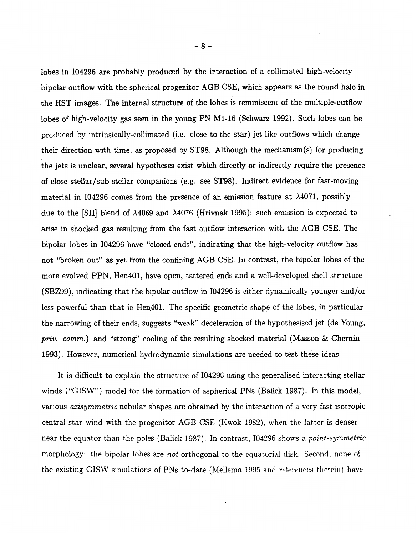lobes in I04296 are probably produced by the interaction of a collimated high-velocity bipolar outflow with the spherical progenitor **AGB CSE,** which appears as the round halo in the HST images. The internal structure of the lobes is reminiscent of the multiple-outflow lobes of high-velocity gas seen in the young PN M1-16 (Schwarz 1992). Such lobes can be produced by intrinsically-collimated (i.e. close to the star) jet-like outflows which change their direction with time, as proposed by ST98. Although the mechanism(s) for producing the jets is unclear, several hypotheses exist which directly or indirectly require the presence of close stellar/sub-stellar companions (e.g. see ST98). Indirect evidence for fast-moving material in I04296 comes from the presence of an emission feature at  $\lambda$ 4071, possibly due to the [SII] blend of  $\lambda$ 4069 and  $\lambda$ 4076 (Hrivnak 1995): such emission is expected to arise in shocked gas resulting from the fast outflow interaction with the AGB CSE. The bipolar lobes in I04296 have "closed ends"; indicating that the high-velocity outflow has not "broken out'' as yet from the confining AGB CSE. In contrast, the bipolar lobes of the more evolved PPN, Hen401, have open, tattered ends and a well-developed shell structure (SBZ99), indicating that the bipolar outflow in I04296 is either dynamically younger and/or less powerful than that in Hen401. The specific geometric shape of the lobes, in particular the narrowing of their ends, suggests "weak" deceleration of the hypothesised jet (de Young, *pn'v. cornrn.)* and ('strong'' cooling of the resulting shocked material (Masson & Chernin 1993). However, numerical hydrodynamic simulations are needed to test these ideas.

It is difficult to explain the structure of I04296 using the generalised interacting stellar winds ("GISW") model for the formation of aspherical PNs (Balick 1987). In this model, various *axisymmetric* nebular shapes are obtained by the interaction of a very fast isotropic central-star wind with the progenitor AGB CSE (Kwok 1982), when the labter is denser near the equator than the poles (Balick 1987). In contrast, I04296 shows a *point-symmetric* morphology: the bipolar lobes are *not* orthogonal to the equatorial disk. Second, none of the existing GISW simulations of PNs to-date (Mellema 1995 and references therein) have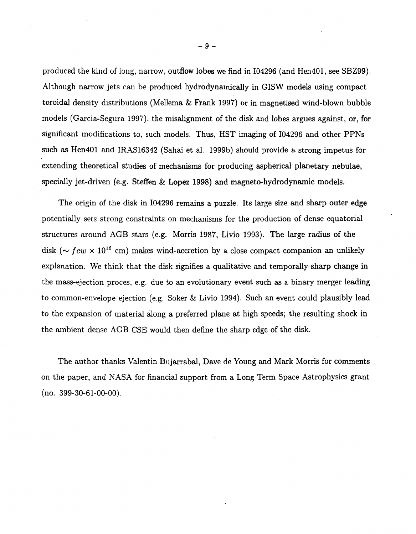produced the kind of long, narrow, outflow lobes'we find in I04296 (and Hen401, see SBZ99). Although narrow jets can be produced hydrodynamically in GISW models using compact toroidal density distributions (Mellema & Frank 1997) or in magnetised wind-blown bubble models (Garcia-Segura 1997), the misalignment of the disk and lobes argues against, or, for significant modifications to, such models. Thus, HST imaging of I04296 and other PPNs such as Hen401 and IRAS16342 (Sahai et al. 1999b) should provide a strong impetus for extending theoretical studies of mechanisms for producing aspherical planetary nebulae, specially jet-driven (e.g. Steffen & Lopez 1998) and magneto-hydrodynamic models.

The origin of the disk in I04296 remains a puzzle. Its large size and sharp outer edge potentially sets strong constraints on mechanisms for the production of dense equatorial structures around AGB stars (e.g. Morris 1987, Livio 1993). The large radius of the disk ( $\sim few \times 10^{16}$  cm) makes wind-accretion by a close compact companion an unlikely explanation. We think that the disk signifies a qualitative and temporally-sharp change in the mass-ejection proces, e.g. due to an evolutionary event such as a binary merger leading to common-envelope ejection (e.g. Soker & Livio 1994). Such an event could plausibly lead to the expansion of material along a preferred plane at high speeds; the resulting shock in the ambient dense AGB CSE would then define the sharp edge of the disk.

The author thanks Valentin Bujarrabal, Dave de Young and Mark Morris for comments on the paper, and NASA for financial support from a Long Term Space Astrophysics grant  $(no. 399-30-61-00-00).$ 

-9-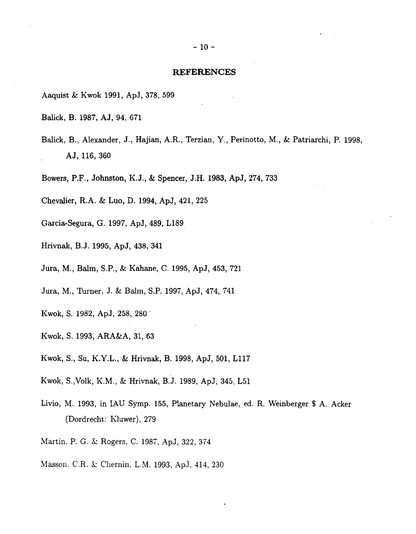## **REFERENCES**

- Aaquist & Kwok **1991,** ApJ, **378, 599**
- Balick, B. **1987,** AJ, **94, 671**
- Balick, B., Alexander, J., Hajian, A.R., Terzian, *Y.,* Perinotto, M., & Patriarchi, P. **1998,**  AJ, **116, 360**
- Bowers, P.F., Johnston, K. **J.,** & Spencer, J.H. **1983,** ApJ, **274, 733**
- Chevalier, R.A. & **Luo,** D. **1994,** ApJ, **421, 225**
- Garcia-Segura, G. **1997,** ApJ, **489, L189**
- Hrivnak, B.J. **1995,** ApJ, **438, 341**
- Jura, M., Balm, S.P., & Kahane, *C.* **1995,** ApJ, **453, 721**
- Jura, M., Turner, J. & Balm, S.P. **1997,** ApJ, **474, 741**
- Kwok, S. **1982,** ApJ, **258, 280**
- Kwok, S. **1993,** ARA&A, **31, 63**
- Kwok, S., Su, K.Y.L., & Hrivnak, B. **1998,** ApJ, **501, L117**
- Kwok, S.,Volk, K.M., & Hrivnak, B.J. **1989,** ApJ, **345, L51**
- Livio, M. **1993,** in IAU Symp. **155,** Planetary Nebulae, ed. R. Weinberger \$ A. Acker (Dordrecht : Kluwer), **279**
- Martin, P. G. *S:* Rogers, C. **1987, ApJ, 322, 374**
- Masson. C.R. & Chernin, L.M. 1993, ApJ, 414, 230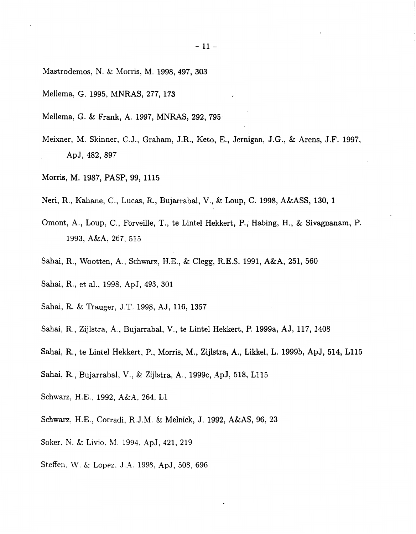Mastrodemos, N. & Morris, M. **1998, 497, 303** 

- Mellema, G. **1995,** MNRAS, **277, 173**
- Mellema, G. & Frank, A. **1997,** MNRAS, **292, 795**
- Meixner, M. Skinner, C. J., Graham, J.R., Keto, E., Jernigan, J.G., & Arens, J.F. **1997,**  ApJ, **482, 897**
- Morris, M. **1987,** PASP, **99, 1115**
- Neri, R., Kahane, C., Lucas, R., Bujarrabal, V., & Loup, C. **1998,** A&ASS, **130,** 1
- Omont, A., Loup, C., Forveille, T., te Lintel Hekkert, P.; Habing, H., & Sivagnanam, P. **1993,** A&A, **267, 515**
- Sahai, R., Wootten, A., Schwarz, H.E., & Clegg, R.E.S. **1991,** A&A, **251, 560**
- Sahai, R., et al., 1998, ApJ, 493, 301
- Sahai, R. & Trauger, J.T. **1998,** AJ, **116, 1357**
- Sahai, R., Zijlstra, **A.,** Bujarrabal, V., te Lintel Hekkert, P. **1999a,** AJ, **117, 1408**
- **Sahai,** R., te Lintel Hekkert, P., Morris, M., Zijlstra, A., Likkel, L. **1999b,** ApJ, **514, L115**
- Sahai, R., Bujarrabal, V., & Zijlstra, A., **1999c,** ApJ, **518, L115**
- Schwarz, H.E., 1992, A&A, 264, L1
- Schwarz, H.E., Corradi, R. J.M. & Melnick, J. **1992,** A&AS, **96, 23**
- Soker, N. & Livio. M. 1994. **ApJ**, 421, 219
- Steffen, W. & Lopez. J.A. 1998, ApJ, 508, 696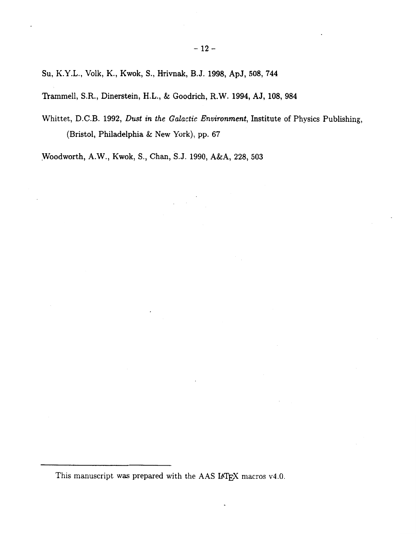Su, K.Y.L., Volk, K., Kwok, **S.,** Hrivnak, B.J. **1998, ApJ, 508, 744** 

Trammell, S.R., Dinerstein, **H.L.,** & Goodrich, R.W. **1994, AJ, 108, 984** 

Whittet, D.C.B. **1992,** *Dust in the Galactic Environment,* Institute **of** Physics Publishing, (Bristol, Philadelphia & New York), pp. **67** 

Woodworth, A.W., Kwok, **S.,** Chan, S.J. **1990,** A&A, **228, 503** 

This manuscript was prepared with the AAS L<sup>4</sup>T<sub>E</sub>X macros v4.0.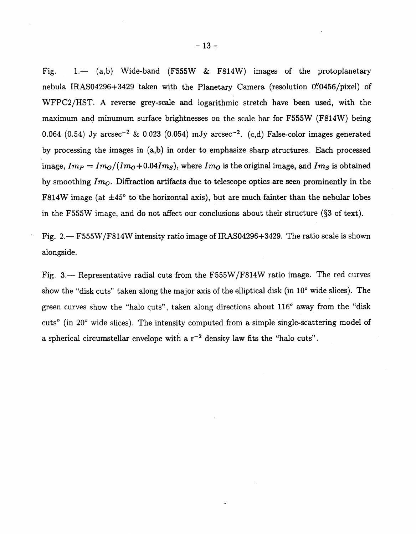Fig. 1.-  $(a,b)$  Wide-band (F555W & F814W) images of the protoplanetary nebula IRAS04296+3429 taken with the Planetary Camera (resolution  $0''0456/pixel$ ) of WFPCZ/HST. **A** reverse grey-scale and logarithmic stretch have been used, with the maximum and minumum surface brightnesses on the scale bar for F555W (F814W) being 0.064 (0.54) Jy arcsec<sup>-2</sup> & 0.023 (0.054) mJy arcsec<sup>-2</sup>. (c,d) False-color images generated by processing the images in (a,b) in order to emphasize sharp structures. Each processed image,  $Im_P = Im_O/(Im_O + 0.04Im_S)$ , where  $Im_O$  is the original image, and  $Im_S$  is obtained by smoothing Imo. Diffraction artifacts due to telescope optics are **seen** prominently in the F814W image (at  $\pm$ 45° to the horizontal axis), but are much fainter than the nebular lobes in the F555W image, and do not affect our conclusions about their structure (53 of text).

Fig. 2.  $-$  F555W/F814W intensity ratio image of IRAS04296+3429. The ratio scale is shown alongside.

Fig. 3.— Representative radial cuts from the F555W/F814W ratio image. The red curves show the "disk cuts" taken along the major axis of the elliptical disk (in  $10^{\circ}$  wide slices). The green curves show the "halo cuts", taken along directions about 116° away from the "disk cuts" (in 20" wide slices). The intensity computed from a simple single-scattering model of a spherical circumstellar envelope with a  $r^{-2}$  density law fits the "halo cuts".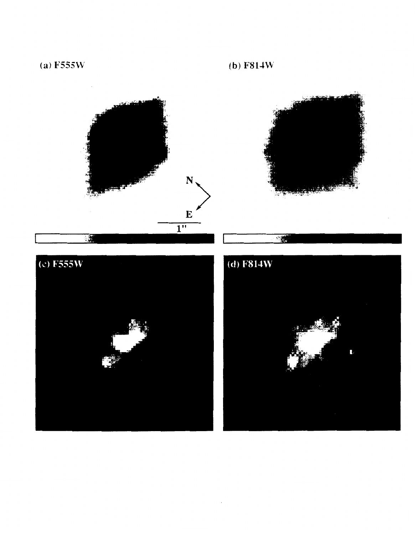$(a)$  F555W







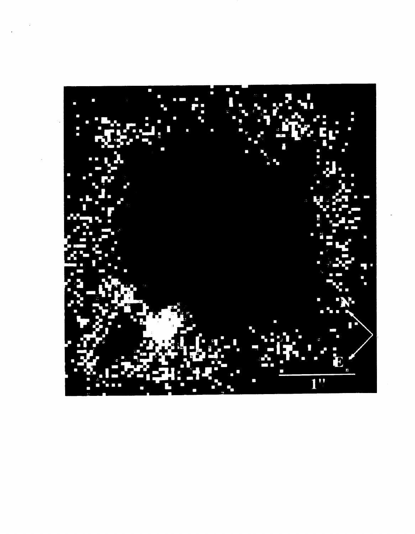